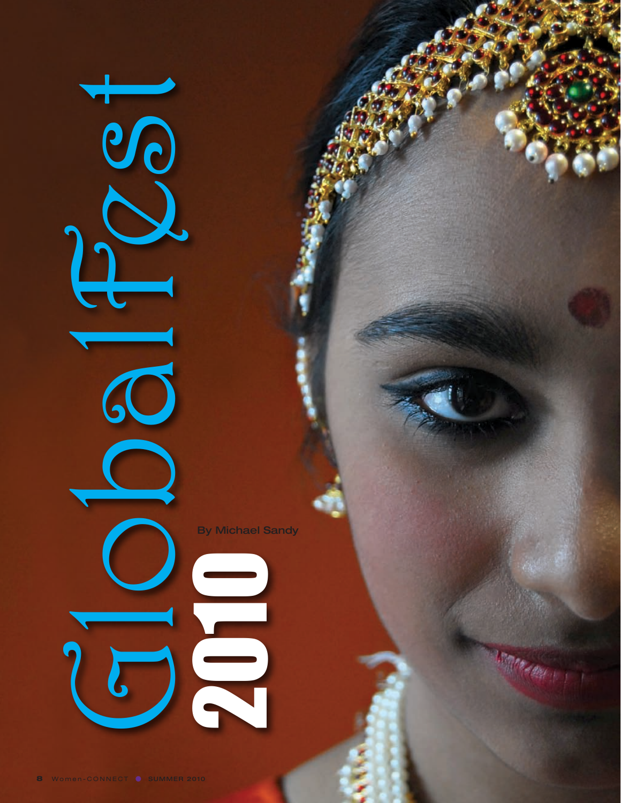By Michael Sandy

202

Feb 1